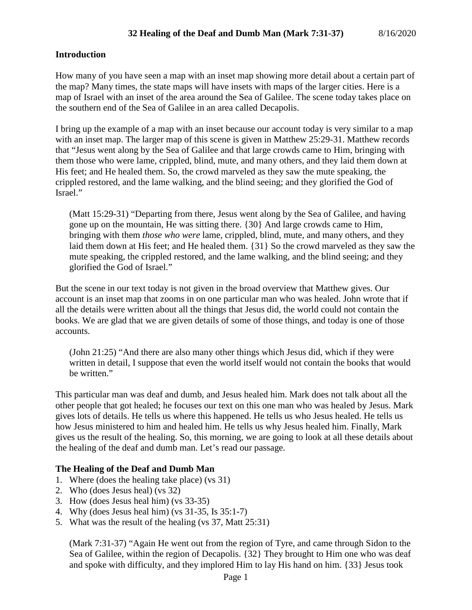#### **Introduction**

How many of you have seen a map with an inset map showing more detail about a certain part of the map? Many times, the state maps will have insets with maps of the larger cities. Here is a map of Israel with an inset of the area around the Sea of Galilee. The scene today takes place on the southern end of the Sea of Galilee in an area called Decapolis.

I bring up the example of a map with an inset because our account today is very similar to a map with an inset map. The larger map of this scene is given in Matthew 25:29-31. Matthew records that "Jesus went along by the Sea of Galilee and that large crowds came to Him, bringing with them those who were lame, crippled, blind, mute, and many others, and they laid them down at His feet; and He healed them. So, the crowd marveled as they saw the mute speaking, the crippled restored, and the lame walking, and the blind seeing; and they glorified the God of Israel."

(Matt 15:29-31) "Departing from there, Jesus went along by the Sea of Galilee, and having gone up on the mountain, He was sitting there. {30} And large crowds came to Him, bringing with them *those who were* lame, crippled, blind, mute, and many others, and they laid them down at His feet; and He healed them. {31} So the crowd marveled as they saw the mute speaking, the crippled restored, and the lame walking, and the blind seeing; and they glorified the God of Israel."

But the scene in our text today is not given in the broad overview that Matthew gives. Our account is an inset map that zooms in on one particular man who was healed. John wrote that if all the details were written about all the things that Jesus did, the world could not contain the books. We are glad that we are given details of some of those things, and today is one of those accounts.

(John 21:25) "And there are also many other things which Jesus did, which if they were written in detail, I suppose that even the world itself would not contain the books that would be written."

This particular man was deaf and dumb, and Jesus healed him. Mark does not talk about all the other people that got healed; he focuses our text on this one man who was healed by Jesus. Mark gives lots of details. He tells us where this happened. He tells us who Jesus healed. He tells us how Jesus ministered to him and healed him. He tells us why Jesus healed him. Finally, Mark gives us the result of the healing. So, this morning, we are going to look at all these details about the healing of the deaf and dumb man. Let's read our passage.

## **The Healing of the Deaf and Dumb Man**

- 1. Where (does the healing take place) (vs 31)
- 2. Who (does Jesus heal) (vs 32)
- 3. How (does Jesus heal him) (vs 33-35)
- 4. Why (does Jesus heal him) (vs 31-35, Is 35:1-7)
- 5. What was the result of the healing (vs 37, Matt 25:31)

(Mark 7:31-37) "Again He went out from the region of Tyre, and came through Sidon to the Sea of Galilee, within the region of Decapolis. {32} They brought to Him one who was deaf and spoke with difficulty, and they implored Him to lay His hand on him. {33} Jesus took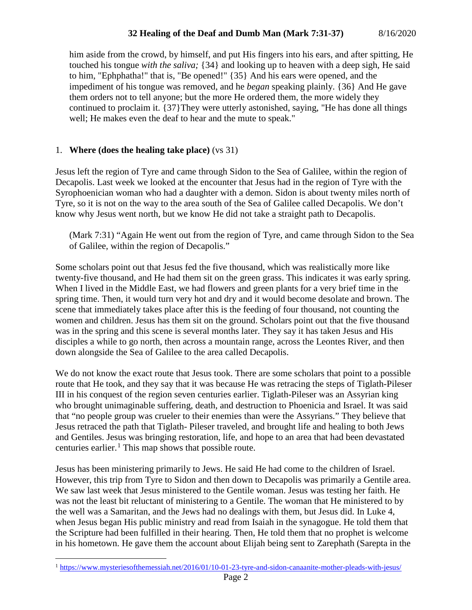# **32 Healing of the Deaf and Dumb Man (Mark 7:31-37)** 8/16/2020

him aside from the crowd, by himself, and put His fingers into his ears, and after spitting, He touched his tongue *with the saliva;* {34} and looking up to heaven with a deep sigh, He said to him, "Ephphatha!" that is, "Be opened!" {35} And his ears were opened, and the impediment of his tongue was removed, and he *began* speaking plainly. {36} And He gave them orders not to tell anyone; but the more He ordered them, the more widely they continued to proclaim it. {37}They were utterly astonished, saying, "He has done all things well; He makes even the deaf to hear and the mute to speak."

#### 1. **Where (does the healing take place)** (vs 31)

Jesus left the region of Tyre and came through Sidon to the Sea of Galilee, within the region of Decapolis. Last week we looked at the encounter that Jesus had in the region of Tyre with the Syrophoenician woman who had a daughter with a demon. Sidon is about twenty miles north of Tyre, so it is not on the way to the area south of the Sea of Galilee called Decapolis. We don't know why Jesus went north, but we know He did not take a straight path to Decapolis.

(Mark 7:31) "Again He went out from the region of Tyre, and came through Sidon to the Sea of Galilee, within the region of Decapolis."

Some scholars point out that Jesus fed the five thousand, which was realistically more like twenty-five thousand, and He had them sit on the green grass. This indicates it was early spring. When I lived in the Middle East, we had flowers and green plants for a very brief time in the spring time. Then, it would turn very hot and dry and it would become desolate and brown. The scene that immediately takes place after this is the feeding of four thousand, not counting the women and children. Jesus has them sit on the ground. Scholars point out that the five thousand was in the spring and this scene is several months later. They say it has taken Jesus and His disciples a while to go north, then across a mountain range, across the Leontes River, and then down alongside the Sea of Galilee to the area called Decapolis.

We do not know the exact route that Jesus took. There are some scholars that point to a possible route that He took, and they say that it was because He was retracing the steps of Tiglath-Pileser III in his conquest of the region seven centuries earlier. Tiglath-Pileser was an Assyrian king who brought unimaginable suffering, death, and destruction to Phoenicia and Israel. It was said that "no people group was crueler to their enemies than were the Assyrians." They believe that Jesus retraced the path that Tiglath- Pileser traveled, and brought life and healing to both Jews and Gentiles. Jesus was bringing restoration, life, and hope to an area that had been devastated centuries earlier. $<sup>1</sup>$  $<sup>1</sup>$  $<sup>1</sup>$  This map shows that possible route.</sup>

Jesus has been ministering primarily to Jews. He said He had come to the children of Israel. However, this trip from Tyre to Sidon and then down to Decapolis was primarily a Gentile area. We saw last week that Jesus ministered to the Gentile woman. Jesus was testing her faith. He was not the least bit reluctant of ministering to a Gentile. The woman that He ministered to by the well was a Samaritan, and the Jews had no dealings with them, but Jesus did. In Luke 4, when Jesus began His public ministry and read from Isaiah in the synagogue. He told them that the Scripture had been fulfilled in their hearing. Then, He told them that no prophet is welcome in his hometown. He gave them the account about Elijah being sent to Zarephath (Sarepta in the

<span id="page-1-0"></span> <sup>1</sup> <https://www.mysteriesofthemessiah.net/2016/01/10-01-23-tyre-and-sidon-canaanite-mother-pleads-with-jesus/>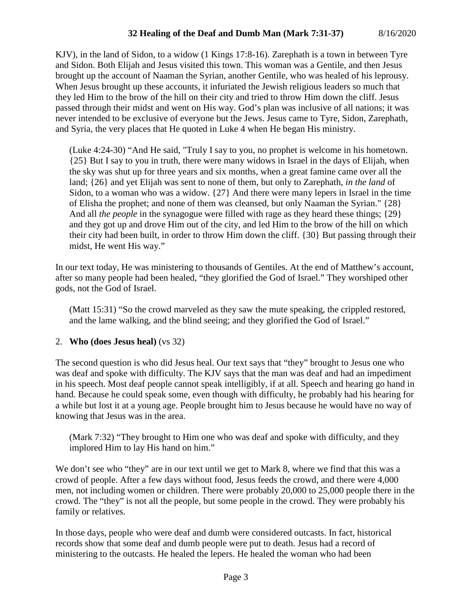KJV), in the land of Sidon, to a widow (1 Kings 17:8-16). Zarephath is a town in between Tyre and Sidon. Both Elijah and Jesus visited this town. This woman was a Gentile, and then Jesus brought up the account of Naaman the Syrian, another Gentile, who was healed of his leprousy. When Jesus brought up these accounts, it infuriated the Jewish religious leaders so much that they led Him to the brow of the hill on their city and tried to throw Him down the cliff. Jesus passed through their midst and went on His way. God's plan was inclusive of all nations; it was never intended to be exclusive of everyone but the Jews. Jesus came to Tyre, Sidon, Zarephath, and Syria, the very places that He quoted in Luke 4 when He began His ministry.

(Luke 4:24-30) "And He said, "Truly I say to you, no prophet is welcome in his hometown. {25} But I say to you in truth, there were many widows in Israel in the days of Elijah, when the sky was shut up for three years and six months, when a great famine came over all the land; {26} and yet Elijah was sent to none of them, but only to Zarephath, *in the land* of Sidon, to a woman who was a widow. {27} And there were many lepers in Israel in the time of Elisha the prophet; and none of them was cleansed, but only Naaman the Syrian." {28} And all *the people* in the synagogue were filled with rage as they heard these things; {29} and they got up and drove Him out of the city, and led Him to the brow of the hill on which their city had been built, in order to throw Him down the cliff. {30} But passing through their midst, He went His way."

In our text today, He was ministering to thousands of Gentiles. At the end of Matthew's account, after so many people had been healed, "they glorified the God of Israel." They worshiped other gods, not the God of Israel.

(Matt 15:31) "So the crowd marveled as they saw the mute speaking, the crippled restored, and the lame walking, and the blind seeing; and they glorified the God of Israel."

2. **Who (does Jesus heal)** (vs 32)

The second question is who did Jesus heal. Our text says that "they" brought to Jesus one who was deaf and spoke with difficulty. The KJV says that the man was deaf and had an impediment in his speech. Most deaf people cannot speak intelligibly, if at all. Speech and hearing go hand in hand. Because he could speak some, even though with difficulty, he probably had his hearing for a while but lost it at a young age. People brought him to Jesus because he would have no way of knowing that Jesus was in the area.

(Mark 7:32) "They brought to Him one who was deaf and spoke with difficulty, and they implored Him to lay His hand on him."

We don't see who "they" are in our text until we get to Mark 8, where we find that this was a crowd of people. After a few days without food, Jesus feeds the crowd, and there were 4,000 men, not including women or children. There were probably 20,000 to 25,000 people there in the crowd. The "they" is not all the people, but some people in the crowd. They were probably his family or relatives.

In those days, people who were deaf and dumb were considered outcasts. In fact, historical records show that some deaf and dumb people were put to death. Jesus had a record of ministering to the outcasts. He healed the lepers. He healed the woman who had been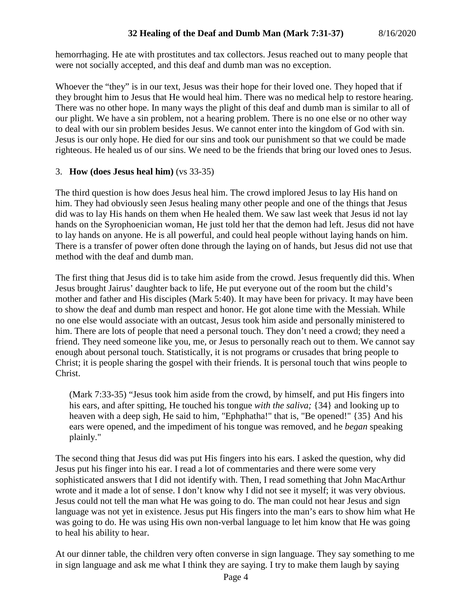hemorrhaging. He ate with prostitutes and tax collectors. Jesus reached out to many people that were not socially accepted, and this deaf and dumb man was no exception.

Whoever the "they" is in our text, Jesus was their hope for their loved one. They hoped that if they brought him to Jesus that He would heal him. There was no medical help to restore hearing. There was no other hope. In many ways the plight of this deaf and dumb man is similar to all of our plight. We have a sin problem, not a hearing problem. There is no one else or no other way to deal with our sin problem besides Jesus. We cannot enter into the kingdom of God with sin. Jesus is our only hope. He died for our sins and took our punishment so that we could be made righteous. He healed us of our sins. We need to be the friends that bring our loved ones to Jesus.

## 3. **How (does Jesus heal him)** (vs 33-35)

The third question is how does Jesus heal him. The crowd implored Jesus to lay His hand on him. They had obviously seen Jesus healing many other people and one of the things that Jesus did was to lay His hands on them when He healed them. We saw last week that Jesus id not lay hands on the Syrophoenician woman, He just told her that the demon had left. Jesus did not have to lay hands on anyone. He is all powerful, and could heal people without laying hands on him. There is a transfer of power often done through the laying on of hands, but Jesus did not use that method with the deaf and dumb man.

The first thing that Jesus did is to take him aside from the crowd. Jesus frequently did this. When Jesus brought Jairus' daughter back to life, He put everyone out of the room but the child's mother and father and His disciples (Mark 5:40). It may have been for privacy. It may have been to show the deaf and dumb man respect and honor. He got alone time with the Messiah. While no one else would associate with an outcast, Jesus took him aside and personally ministered to him. There are lots of people that need a personal touch. They don't need a crowd; they need a friend. They need someone like you, me, or Jesus to personally reach out to them. We cannot say enough about personal touch. Statistically, it is not programs or crusades that bring people to Christ; it is people sharing the gospel with their friends. It is personal touch that wins people to Christ.

(Mark 7:33-35) "Jesus took him aside from the crowd, by himself, and put His fingers into his ears, and after spitting, He touched his tongue *with the saliva;* {34} and looking up to heaven with a deep sigh, He said to him, "Ephphatha!" that is, "Be opened!" {35} And his ears were opened, and the impediment of his tongue was removed, and he *began* speaking plainly."

The second thing that Jesus did was put His fingers into his ears. I asked the question, why did Jesus put his finger into his ear. I read a lot of commentaries and there were some very sophisticated answers that I did not identify with. Then, I read something that John MacArthur wrote and it made a lot of sense. I don't know why I did not see it myself; it was very obvious. Jesus could not tell the man what He was going to do. The man could not hear Jesus and sign language was not yet in existence. Jesus put His fingers into the man's ears to show him what He was going to do. He was using His own non-verbal language to let him know that He was going to heal his ability to hear.

At our dinner table, the children very often converse in sign language. They say something to me in sign language and ask me what I think they are saying. I try to make them laugh by saying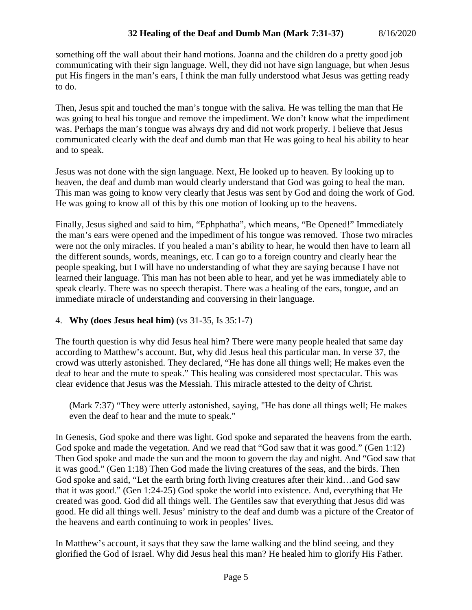something off the wall about their hand motions. Joanna and the children do a pretty good job communicating with their sign language. Well, they did not have sign language, but when Jesus put His fingers in the man's ears, I think the man fully understood what Jesus was getting ready to do.

Then, Jesus spit and touched the man's tongue with the saliva. He was telling the man that He was going to heal his tongue and remove the impediment. We don't know what the impediment was. Perhaps the man's tongue was always dry and did not work properly. I believe that Jesus communicated clearly with the deaf and dumb man that He was going to heal his ability to hear and to speak.

Jesus was not done with the sign language. Next, He looked up to heaven. By looking up to heaven, the deaf and dumb man would clearly understand that God was going to heal the man. This man was going to know very clearly that Jesus was sent by God and doing the work of God. He was going to know all of this by this one motion of looking up to the heavens.

Finally, Jesus sighed and said to him, "Ephphatha", which means, "Be Opened!" Immediately the man's ears were opened and the impediment of his tongue was removed. Those two miracles were not the only miracles. If you healed a man's ability to hear, he would then have to learn all the different sounds, words, meanings, etc. I can go to a foreign country and clearly hear the people speaking, but I will have no understanding of what they are saying because I have not learned their language. This man has not been able to hear, and yet he was immediately able to speak clearly. There was no speech therapist. There was a healing of the ears, tongue, and an immediate miracle of understanding and conversing in their language.

## 4. **Why (does Jesus heal him)** (vs 31-35, Is 35:1-7)

The fourth question is why did Jesus heal him? There were many people healed that same day according to Matthew's account. But, why did Jesus heal this particular man. In verse 37, the crowd was utterly astonished. They declared, "He has done all things well; He makes even the deaf to hear and the mute to speak." This healing was considered most spectacular. This was clear evidence that Jesus was the Messiah. This miracle attested to the deity of Christ.

(Mark 7:37) "They were utterly astonished, saying, "He has done all things well; He makes even the deaf to hear and the mute to speak."

In Genesis, God spoke and there was light. God spoke and separated the heavens from the earth. God spoke and made the vegetation. And we read that "God saw that it was good." (Gen 1:12) Then God spoke and made the sun and the moon to govern the day and night. And "God saw that it was good." (Gen 1:18) Then God made the living creatures of the seas, and the birds. Then God spoke and said, "Let the earth bring forth living creatures after their kind…and God saw that it was good." (Gen 1:24-25) God spoke the world into existence. And, everything that He created was good. God did all things well. The Gentiles saw that everything that Jesus did was good. He did all things well. Jesus' ministry to the deaf and dumb was a picture of the Creator of the heavens and earth continuing to work in peoples' lives.

In Matthew's account, it says that they saw the lame walking and the blind seeing, and they glorified the God of Israel. Why did Jesus heal this man? He healed him to glorify His Father.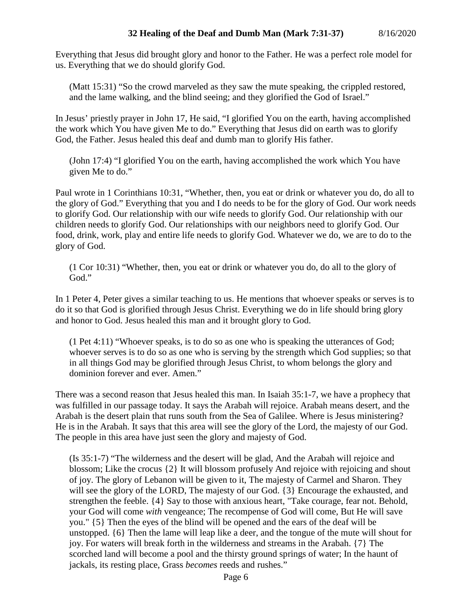Everything that Jesus did brought glory and honor to the Father. He was a perfect role model for us. Everything that we do should glorify God.

(Matt 15:31) "So the crowd marveled as they saw the mute speaking, the crippled restored, and the lame walking, and the blind seeing; and they glorified the God of Israel."

In Jesus' priestly prayer in John 17, He said, "I glorified You on the earth, having accomplished the work which You have given Me to do." Everything that Jesus did on earth was to glorify God, the Father. Jesus healed this deaf and dumb man to glorify His father.

(John 17:4) "I glorified You on the earth, having accomplished the work which You have given Me to do."

Paul wrote in 1 Corinthians 10:31, "Whether, then, you eat or drink or whatever you do, do all to the glory of God." Everything that you and I do needs to be for the glory of God. Our work needs to glorify God. Our relationship with our wife needs to glorify God. Our relationship with our children needs to glorify God. Our relationships with our neighbors need to glorify God. Our food, drink, work, play and entire life needs to glorify God. Whatever we do, we are to do to the glory of God.

(1 Cor 10:31) "Whether, then, you eat or drink or whatever you do, do all to the glory of God."

In 1 Peter 4, Peter gives a similar teaching to us. He mentions that whoever speaks or serves is to do it so that God is glorified through Jesus Christ. Everything we do in life should bring glory and honor to God. Jesus healed this man and it brought glory to God.

(1 Pet 4:11) "Whoever speaks, is to do so as one who is speaking the utterances of God; whoever serves is to do so as one who is serving by the strength which God supplies; so that in all things God may be glorified through Jesus Christ, to whom belongs the glory and dominion forever and ever. Amen."

There was a second reason that Jesus healed this man. In Isaiah 35:1-7, we have a prophecy that was fulfilled in our passage today. It says the Arabah will rejoice. Arabah means desert, and the Arabah is the desert plain that runs south from the Sea of Galilee. Where is Jesus ministering? He is in the Arabah. It says that this area will see the glory of the Lord, the majesty of our God. The people in this area have just seen the glory and majesty of God.

(Is 35:1-7) "The wilderness and the desert will be glad, And the Arabah will rejoice and blossom; Like the crocus {2} It will blossom profusely And rejoice with rejoicing and shout of joy. The glory of Lebanon will be given to it, The majesty of Carmel and Sharon. They will see the glory of the LORD, The majesty of our God. {3} Encourage the exhausted, and strengthen the feeble. {4} Say to those with anxious heart, "Take courage, fear not. Behold, your God will come *with* vengeance; The recompense of God will come, But He will save you." {5} Then the eyes of the blind will be opened and the ears of the deaf will be unstopped. {6} Then the lame will leap like a deer, and the tongue of the mute will shout for joy. For waters will break forth in the wilderness and streams in the Arabah. {7} The scorched land will become a pool and the thirsty ground springs of water; In the haunt of jackals, its resting place, Grass *becomes* reeds and rushes."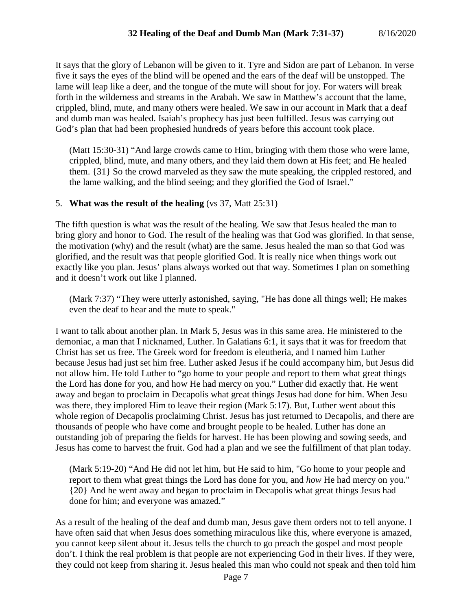It says that the glory of Lebanon will be given to it. Tyre and Sidon are part of Lebanon. In verse five it says the eyes of the blind will be opened and the ears of the deaf will be unstopped. The lame will leap like a deer, and the tongue of the mute will shout for joy. For waters will break forth in the wilderness and streams in the Arabah. We saw in Matthew's account that the lame, crippled, blind, mute, and many others were healed. We saw in our account in Mark that a deaf and dumb man was healed. Isaiah's prophecy has just been fulfilled. Jesus was carrying out God's plan that had been prophesied hundreds of years before this account took place.

(Matt 15:30-31) "And large crowds came to Him, bringing with them those who were lame, crippled, blind, mute, and many others, and they laid them down at His feet; and He healed them. {31} So the crowd marveled as they saw the mute speaking, the crippled restored, and the lame walking, and the blind seeing; and they glorified the God of Israel."

#### 5. **What was the result of the healing** (vs 37, Matt 25:31)

The fifth question is what was the result of the healing. We saw that Jesus healed the man to bring glory and honor to God. The result of the healing was that God was glorified. In that sense, the motivation (why) and the result (what) are the same. Jesus healed the man so that God was glorified, and the result was that people glorified God. It is really nice when things work out exactly like you plan. Jesus' plans always worked out that way. Sometimes I plan on something and it doesn't work out like I planned.

(Mark 7:37) "They were utterly astonished, saying, "He has done all things well; He makes even the deaf to hear and the mute to speak."

I want to talk about another plan. In Mark 5, Jesus was in this same area. He ministered to the demoniac, a man that I nicknamed, Luther. In Galatians 6:1, it says that it was for freedom that Christ has set us free. The Greek word for freedom is eleutheria, and I named him Luther because Jesus had just set him free. Luther asked Jesus if he could accompany him, but Jesus did not allow him. He told Luther to "go home to your people and report to them what great things the Lord has done for you, and how He had mercy on you." Luther did exactly that. He went away and began to proclaim in Decapolis what great things Jesus had done for him. When Jesu was there, they implored Him to leave their region (Mark 5:17). But, Luther went about this whole region of Decapolis proclaiming Christ. Jesus has just returned to Decapolis, and there are thousands of people who have come and brought people to be healed. Luther has done an outstanding job of preparing the fields for harvest. He has been plowing and sowing seeds, and Jesus has come to harvest the fruit. God had a plan and we see the fulfillment of that plan today.

(Mark 5:19-20) "And He did not let him, but He said to him, "Go home to your people and report to them what great things the Lord has done for you, and *how* He had mercy on you." {20} And he went away and began to proclaim in Decapolis what great things Jesus had done for him; and everyone was amazed."

As a result of the healing of the deaf and dumb man, Jesus gave them orders not to tell anyone. I have often said that when Jesus does something miraculous like this, where everyone is amazed, you cannot keep silent about it. Jesus tells the church to go preach the gospel and most people don't. I think the real problem is that people are not experiencing God in their lives. If they were, they could not keep from sharing it. Jesus healed this man who could not speak and then told him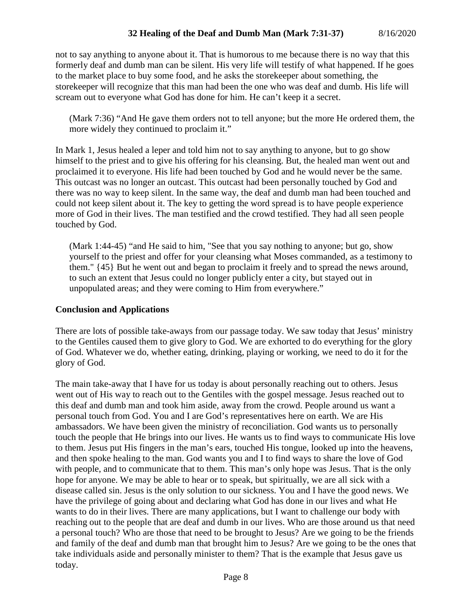not to say anything to anyone about it. That is humorous to me because there is no way that this formerly deaf and dumb man can be silent. His very life will testify of what happened. If he goes to the market place to buy some food, and he asks the storekeeper about something, the storekeeper will recognize that this man had been the one who was deaf and dumb. His life will scream out to everyone what God has done for him. He can't keep it a secret.

(Mark 7:36) "And He gave them orders not to tell anyone; but the more He ordered them, the more widely they continued to proclaim it."

In Mark 1, Jesus healed a leper and told him not to say anything to anyone, but to go show himself to the priest and to give his offering for his cleansing. But, the healed man went out and proclaimed it to everyone. His life had been touched by God and he would never be the same. This outcast was no longer an outcast. This outcast had been personally touched by God and there was no way to keep silent. In the same way, the deaf and dumb man had been touched and could not keep silent about it. The key to getting the word spread is to have people experience more of God in their lives. The man testified and the crowd testified. They had all seen people touched by God.

(Mark 1:44-45) "and He said to him, "See that you say nothing to anyone; but go, show yourself to the priest and offer for your cleansing what Moses commanded, as a testimony to them." {45} But he went out and began to proclaim it freely and to spread the news around, to such an extent that Jesus could no longer publicly enter a city, but stayed out in unpopulated areas; and they were coming to Him from everywhere."

# **Conclusion and Applications**

There are lots of possible take-aways from our passage today. We saw today that Jesus' ministry to the Gentiles caused them to give glory to God. We are exhorted to do everything for the glory of God. Whatever we do, whether eating, drinking, playing or working, we need to do it for the glory of God.

The main take-away that I have for us today is about personally reaching out to others. Jesus went out of His way to reach out to the Gentiles with the gospel message. Jesus reached out to this deaf and dumb man and took him aside, away from the crowd. People around us want a personal touch from God. You and I are God's representatives here on earth. We are His ambassadors. We have been given the ministry of reconciliation. God wants us to personally touch the people that He brings into our lives. He wants us to find ways to communicate His love to them. Jesus put His fingers in the man's ears, touched His tongue, looked up into the heavens, and then spoke healing to the man. God wants you and I to find ways to share the love of God with people, and to communicate that to them. This man's only hope was Jesus. That is the only hope for anyone. We may be able to hear or to speak, but spiritually, we are all sick with a disease called sin. Jesus is the only solution to our sickness. You and I have the good news. We have the privilege of going about and declaring what God has done in our lives and what He wants to do in their lives. There are many applications, but I want to challenge our body with reaching out to the people that are deaf and dumb in our lives. Who are those around us that need a personal touch? Who are those that need to be brought to Jesus? Are we going to be the friends and family of the deaf and dumb man that brought him to Jesus? Are we going to be the ones that take individuals aside and personally minister to them? That is the example that Jesus gave us today.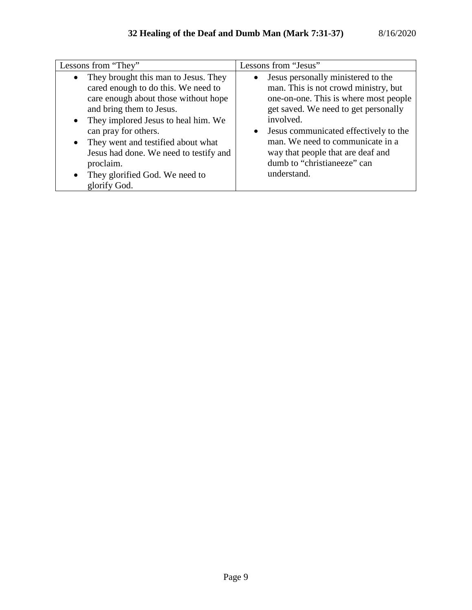| Lessons from "They"                                                                                                                                                                                                                                                                                                                                                                     | Lessons from "Jesus"                                                                                                                                                                                                                                                                                                                                    |
|-----------------------------------------------------------------------------------------------------------------------------------------------------------------------------------------------------------------------------------------------------------------------------------------------------------------------------------------------------------------------------------------|---------------------------------------------------------------------------------------------------------------------------------------------------------------------------------------------------------------------------------------------------------------------------------------------------------------------------------------------------------|
| They brought this man to Jesus. They<br>cared enough to do this. We need to<br>care enough about those without hope<br>and bring them to Jesus.<br>They implored Jesus to heal him. We<br>$\bullet$<br>can pray for others.<br>They went and testified about what<br>$\bullet$<br>Jesus had done. We need to testify and<br>proclaim.<br>They glorified God. We need to<br>glorify God. | Jesus personally ministered to the<br>$\bullet$<br>man. This is not crowd ministry, but<br>one-on-one. This is where most people<br>get saved. We need to get personally<br>involved.<br>• Jesus communicated effectively to the<br>man. We need to communicate in a<br>way that people that are deaf and<br>dumb to "christianeeze" can<br>understand. |